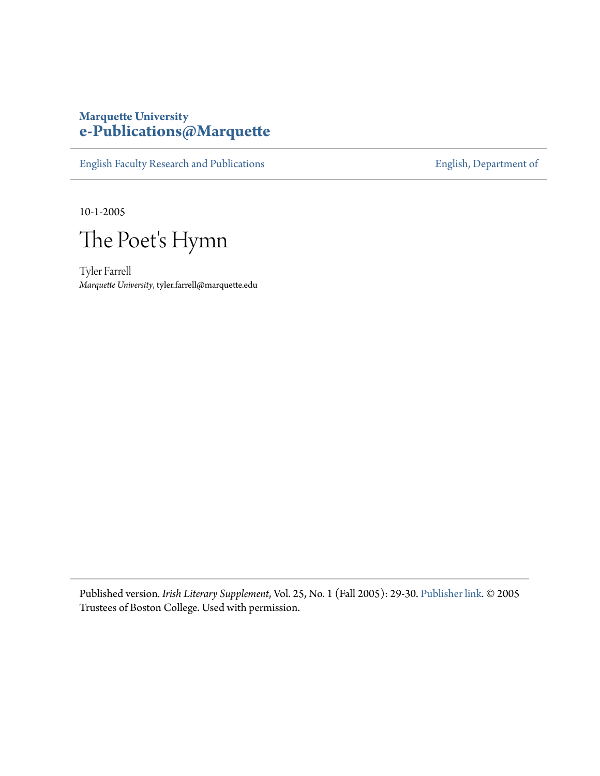### **Marquette University [e-Publications@Marquette](https://epublications.marquette.edu)**

[English Faculty Research and Publications](https://epublications.marquette.edu/english_fac) **[English, Department of](https://epublications.marquette.edu/english)** 

10-1-2005



Tyler Farrell *Marquette University*, tyler.farrell@marquette.edu

Published version*. Irish Literary Supplement*, Vol. 25, No. 1 (Fall 2005): 29-30. [Publisher link.](https://www.bc.edu/bc-web/centers/center-for-irish-programs.html) © 2005 Trustees of Boston College. Used with permission.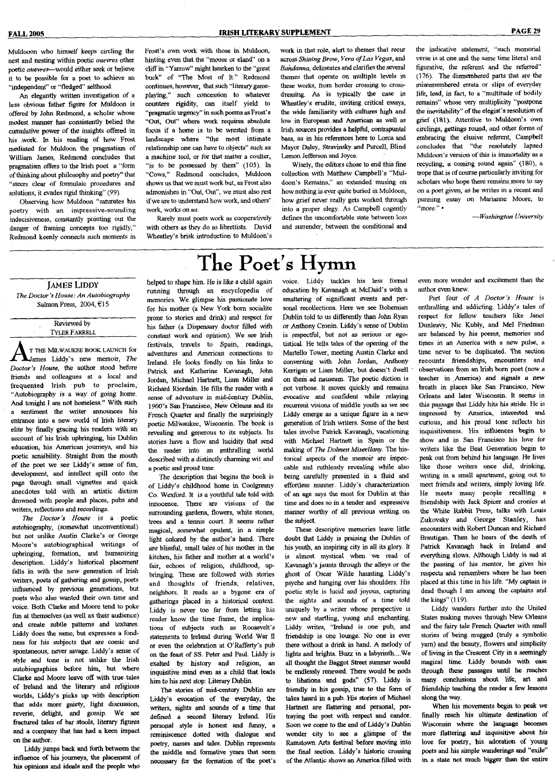Muldooon who himself keeps circling the nest and nesting within poetic *ouevres* other poetic *ouevres*—^would either seek or believe it to be possible for a poet to achieve an "independent" or "fledged" selfhood.

An elegantly written investigation of a less obvious father figure for Muldoon is offered by John Redmond, a scholar whose modest manner has consistently belied the cumulative power of the insights offered in his work. In his reading of how Frost mediated for Muldoon the pragmatism of William James, Redmond concludes that pragmatism offers to the Irish poet a "form of thinking about philosophy and poetry" that "steers clear of formulaic procedures and solutions, it evades rigid thinking" (99).

Observing how Muldoon "saturates his poetry with an impressive-sounding indecisiveness, constantiy pointing out the danger of framing concepts too rigidly," Redmond keenly connects such moments in Frost's own work with those in Muldoon, hinting even that the "moose or eland" on a cliff in "Yarrow" might hearken to the "great buck" of "The Most of It." Redmond continues, however, that such "literary gameplaying," such concession to whatever counters rigidity, can itself yield to "pragmatic urgency" in such poems as Frost's "Out, Out" where work requires absolute focus if a home is to be wrested from a landscape where "the most intimate relationship one can have to objects" such as a machine tool, or for that matter a coulter, "is to be possessed by them" (105). In "Cows," Redmond concludes, Muldoon shows us that we must work but, as Frost also admonishes in "Out, Out", we must also rest if we are to understand how work, and others' work, works on *us.*

Rarely must poets work as cooperatively with others as they do as librettists. David Wheatley's brisk introduction to Muldoon's

work in that role, alert to themes that recur across *Shining Brow, Vera of Las Vegas,* and Bandanna, delineates and clarifies the several themes that operate on multiple levels in these works, from border crossing to crossdressing. As is typically the case in Wheatley's erudite, inviting critical essays, the wide familiarity with cultures high and low in European and American as well as Irish sources provides a helpful, contrapuntal bass, as in his references here to Lorca and Mayor Daley, Stravinsky and Purcell, Blind Lemon Jefferson and Joyce.

Wisely, the editors chose to end this fine collection with Matthew Campbell's "Muldoon's Remains," an extended musing on how nothing is ever quite buried in Muldoon, how grief never really gets worked through into a proper elegy. As Campbell cogently defines the uncomfortable state between loss and surrender, between the conditional and

the indicative statement, "such memorial verse is at one and the same time literal and figurative, the referent *and* the referred" (176). The dismembered parts that are the misremembered errata or slips of everyday life, lead, in fact, to a "multitude of bodily remains" whose very multiplicity "postpone the inevitability" of the elegist's resolution of grief (lSl). Attentive to Muldoon's own circlings, gettings round, and other forms of embracing the elusive referent, Campbell concludes that "the resolutely lapsed Muldoon's version of this is immortality as a recycling, a coming round again" (180), a trope that is of course particularly inviting for scholars who hope there remains more to say on a poet given, as he writes in a recent and punning essay on Marianne Moore, to "more." •

—*Washington University*

## The Poet's Hymn

### JAMES LIDDY *The Doctor's House: An Autobiography*

Salmon Press, 2004, €15

Reviewed by TYLER FARRELL

T THE MILWAUKEE BOOK LAUNCH for J^nes Liddy's new memoir. *The Doctor's House,* the author stood before friends and colleagues at a local and frequented Irish pub to proclaim, "Autobiography is a way of going home. And tonight I am not homeless." With such a sentiment the writer announces his entrance into a new world of Irish literary elite by finally gracing his readers with an account of his Irish upbringing, his Dublin education, his American journeys, and his poetic sensibility. Straight from the mouth of the poet we see Liddy's sense of fim, development, and intellect spill onto the page through small vignettes and quick anecdotes told with an artistic diction drowned with people and places, pubs *and* writers, reflections and recordings.

*The Doctor's House* is a poetic autobiography, (somewhat unconventional) but not unlike Austin Clarke's or George Moore's autobiographical writings of upbringing, formation, and humanizing description. Liddy s historical placement falls in with the new generation of Irish writers, poets of gathering and gossip, poets influenced by previous generations, but poets who also wanted their own time and voice. Both Clarke and Moore tend to poke fim at themselves (as well as their audience) and create subtle patterns and textures. Liddy does the same, but expresses a fondness for his subjects that are comic and spontaneous, never savage. Liddy's sense of style and tone is not unlike the Irish autobiographies before him, but where Clarke and Moore leave off with true tales of Ireland and the Hteraiy *md* religious worlds, and are meaning and resignment worlds, Liddy's picks up with description that adds more gaiety, light discussion, reverie, delight, and gossip. We see fractured tales of bar stools, literary figures and a company that has had a keen impact<br>on the author.

Liddy jumps back and forth between the influence of his journeys, the placement of his opinions and ideals and the people who

helped to shape him. He is like a child again running through an encyclopedia of memories. We glimpse his passionate love for his mother (a New York bom socialite prone to stories and drink) and respect for his father (a Dispensary doctor filled with constant work and opinion). We see Irish festivals, travels to Spain, readings, adventures and American connections to Ireland, He looks fondly on his links to Patrick and Katherine Kavanagh, John Jordan, Michael Hartnett, Liam Miller and Richard Riordain. He fills the reader with a sense of adventure in mid-century Dublin, 1960's San Francisco, New Orleans and its French Quarter and finally the surprisingly poetic Milwaukee, Wisconsin. The book is revealing and generous to its subjects. Its stories have a flow and lucidity that send the reader into an enthralling world described with a distinctly charming wit and a poetic and proud tone.

The description that begins the book is of Liddy's childhood home in Coolgreany Co. Wexford. It is a youthful tale told with innocence. There are visions of the surrounding gardens, flowers, white stones, trees and a tennis court. It seems rather magical, somewhat opulent, in a simple light colored by the author's hand. There are blissful, small tales of his mother in the kitchen, his father and mother at a world's fair, echoes of religion, childhood, upbringing. These are followed with stories and thoughts of friends, relatives, neighbors. It reads as a bygone era of gatherings placed in a historical context. Liddy is never too far from letting his reader know the time frame, the implications of subjects such as Roosevelt's statements to Ireland during World War fl or even the celebration at O'Rafferty's pub on the feast of SS. Peter and Paul. Liddy is exalted by history and religion, an inquisitive mind even as a child that leads him to his next stop: Literary Dublin.

The stories of mid-century Dublin are Liddy's evocation of the everyday, the writers, sights and sounds of a time that defined a second literary Ireland. His personal style is honest and Hmny, a reminiscence dotted with dialopie and poetry, names and tales. Dublin represents the middle and fonnative years that seem necessary for the formation of the poet's

voice. Liddy tackles his less formal education by Kavanagh at McDaid's with a smattering of significant events and personal recollections. Here we see Bohemian Dublin told to us differently than John Ryan or Anthony Cronin. Liddy's sense of Dublin is respectfiil, but not as serious or egotistical. He tells tales of the opening of the Martello Tower, meeting Austin Clarke and conversing with John Jordan, Anthony Kerrigan or Liam Miller, but doesn't dwell on therh ad nauseam. The poetic diction is not verbose. It moves quickly and remains evocative and confident while relaying recurrent visions of middle youth as we see Liddy emerge as a unique figure in a new generation of Irish writers. Some of the best tales involve Patrick Kavanagh, vacationing with Michael Hartnett in Spain or the making of *The Dolmen Miscellany.* The historical aspects of the memoir are impeccable and ruthlessly revealing while also being carefully presented in a fluid and effortless manner. Liddy's characterization of *an* age says the most for Dublin at this time and does so in a tender and expressive manner worthy of all previous writing on the subject.

These descriptive memories leave little doubt that Liddy is praising the Dublin of his youth, an inspiring city in all its glory, It is almost mystical when we read of Kavanagh's jaunts through the alleys or the ghost of Oscar Wilde haunting Liddy's psyche and hanging over his shoulders. His poetic style is lucid and joyous, capturing the sights and sounds of a time told uniquely by a writer whose perspective is new and startling, young and enchanting. Liddy writes, "Ireland is one pub, and friendship is one lounge. No one is ever there without a drink in hand. A melody of lights and brights. Buzz in a labyrinth....We all thought the Baggot Street summer would be endlessly renewed. There would be nods fo libations and gods" (57). Liddy is friendly in his gossip, true to the form of tales heard in a pub. His stories of Michael Hartnett are flattering and personal, portraying the poet with respect and candor. Soon we come to the end of Liddy's Dublin wonder city to see a glimpse of the Ramstown Arts festival before moving into the final section. Liddy's historic crossing of the Atlantic shows an America filled with even more wonder and excitement than the author even knew.

Part four of *A Doctor's House* is enthralling and addicting. Liddy's tales of respect for fellow teachers like Janet Dunleavy, Nic Kubly, and Mel Friedman are balanced by his poems, memories and times in an America with a new pulse, a time never to be duplicated. The section recounts friendships, encounters and observations from an Irish born poet (now a teacher in America) and signals a new breath in places like San Francisco, New Orleans and later Wisconsin, it seems in this passage that Liddy hits his stride. He is impressed by America, interested and curious, and his proud tone reflects his inquisitiveness. His influences begin to show and in San Francisco his love for writes like the Beat Generation begin to peak out from behind his language. He lives like those writers once did, drinking, writing in a small apartment, going out to meet friends and writers, simply loving life. He meets many people recailing a friendship with Jack Spicer and cronies at the White Rabbit Press, talks with Louis Zukovsky and George Stanley, has encounters with Robert Duncan and Richard Brautigan. Then he hears of the death of Patrick Kavanagh back in Ireland and everything slows. Although Liddy is sad at the passing of his mentor, he gives his respects and remembers where he has been placed at this time in his life. "My captain is dead though I am among the captains and the kings" (119).

Liddy wanders further into the United States making moves through New Orleans and the fairy tale French Quarter with small sfories of being mugged (truly a symbolic yam) and the beauty, flowers and simplicity of living in the Crescent City in a seemingly magical time. Liddy bounds with *eas&* through these passages until he reaches many conclusions about life, art and friendship teaching the reader a few lessons along the way.

When his movements begin fo peak we finally *teach* his ultimate destination of Wisconsin where the language becomes more flattering and inquisitive about his love for poetry, his adoration of young poets and his simple wanderings and "exile" in a state not much bigger than the entire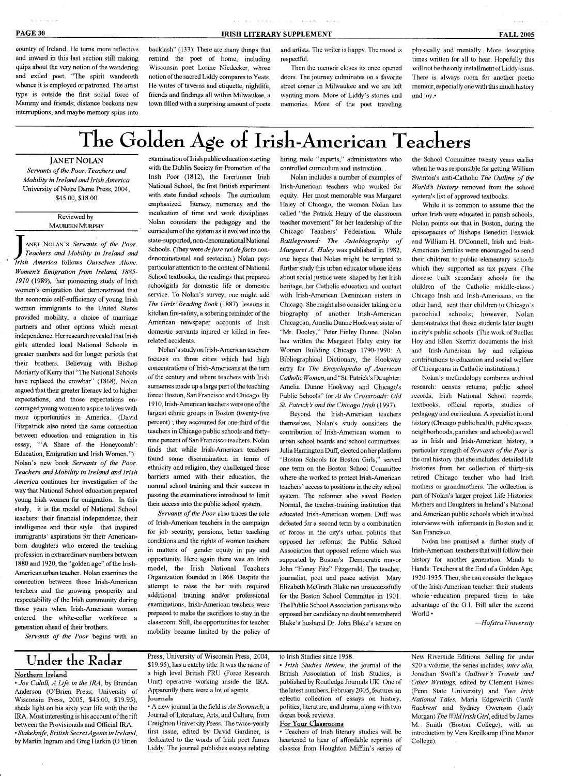country of Ireland. He turns more reflective and inward in this last section still making quips about the very notion of the wandering and exiled poet. "Ihc spirit wandereth whence it is employed or patroned. The artist type is outside the first social force of Mammy and friends; distance beckons new interruptions, and maybe memory spins into

backlash" (133). There are many things that remmd the poet of home, including Wisconsin poet Lorinc Niedecker, whose notion of the sacred Liddy compares to Yeats. He writes of taverns and etiquette, nightlife, friends and findings all within Milwaukee, a town filled with a surprising amount of poets

and artists. The writer is happy. The mood is respectfiil.

Then the memoir closes its once opened doors. The journey culminates on a favorite street comer in Milwaukee and we are left wanting more. More of Liddy's stories and memories. More of the poet traveling

physically and menially. More descriptive times written for all to hear. Hopefully this will not be the only installment of Liddy-iams. There is always room for another poetic memoir, especially one with this much history and joy-'

# The Golden Age of Irish-American Teachers

and a subsequently and a subsequently

JANET NOLAN *Servants of the Poor. Teachers and Mobility in Ireland and Irish America* University of Notre Dame Press, 2004, \$45.00, \$18.00

> Reviewed by MAUREEN MURPHY

ANET NOLAN'S Servants of the Poor.<br> *Teachers and Mobility in Ireland and*<br> *Irish America* follows Ourselves Alone. ANET NOLAN'S *Servants of the Poor. Teachers and Mobility in Ireland and Women's Emigration from Ireland, 1885- 1910* (1989), her pioneering study of Irish women's emigration that demonstrated that the economic self-sufficiency of young Irish women immigrants to the United States provided mobility, a choice of marriage partners and other options which meant independence. Her research revealed that Irish girls attended local National Schools in greater numbers and for longer periods that their brothers. Believing with Bishop Moriarty of Kerry that "The National Schools have replaced the crowbar" (1868), Nolan argued that their greater literacy led to higher expectations, and those expectations encouraged young women to aspire to lives with more opportunities in America., (David Fitzpatrick also noted the same connection between education and emigration in his between equeation and emigration in  $\mathfrak{m}$ essay, "A Share of the Honeycomb': Education, Emigration and Irish Women.") Nolan's new book Servants of the Poor. **Teachers and Mobility in Ireland and Irish** America continues her investigation of the way that National School education prepared young Irish women for emigration. In this study, it is the model of National School teachers: their financial independence, their intelligence and their style that inspired immigrants' aspirations for their Americanborn daughters who entered the teaching profession in extraordinary numbers between 1880 and 1920, the "golden age" of the Irish-American urban teacher. Nolan examines the connection between those Irish-American teachers and the growing prosperity and respectability of the Irish community during those vears when Irish-American women entered the white-collar workforce a generation ahead of their brothers.

*Servants of the Poor* begins with an

examination of Irish public education starting with the Dublin Society for Promotion of the Irish Poor (1812), the forerunner Irish National School, the first British experiment with state funded schools. The curriculum emphasized literacy, numeracy and the inculcation of time and work disciplines, Nolan considers the pedagogy and the curriculum of the system as it evolved into the state-supported, non-denominational National Schools, *(They were de jure noi de facto* nondenominational and sectarian,) Nolan pays particular attention to the content of National School textbooks, the readings that prepared schoolgirls for domestic life or domestic service. To Nolan's survey, one might add *The Girb'Reading Book* (1887) lessons in kitchen fire-safety, a sobering reminder of the American newspaper accounts of Irish domestic servants injured or killed in firerelated accidents.

Nolan's studyon Irish-American teachers focuses on three cities which had high concentrations of Irish-Americans at the turn of the century and where teachers with Irish surnames made up a large part of the teaching force: Boston, San Francisco and Chicago. By 1910, Irish-American teachers were one of the largest ethnic groups in Boston (twenty-five percent) ; they accounted for one-third of the teachers in Chicago public schools and fortynine percent of San Francisco teachers, Nolan finds that while Irish-American teachers found some discrimination in terms of ethnicity and religion, they challenged those barriers armed with their education, the normal school training and their success in passing the examinations introduced to limit their access into the public school system.

*Servants of the Poor* also traces the role of Irish-American teachers in the campaign for job security, pensions, better teaching conditions and the rights of women teachers in matters of gender equity in pay and opportunity. Here again there was an Irish model, the Irish National Teachers Organization founded in 1868. Despite the attempt to raise the bar with required additional training and/or professional examinations, Irish-American teachers were prepared to make the sacrifices to stay in the classroom. Still, the opportunities for teacher mobility became limited by the policy of

hiring male "experts," administrators who controlled curriculum and instruction. .

Nolan includes a number of examples of Irish-American teachers who worked for equity. Her most memorable was Margaret Flaiey of Chicago, the woman Nolan has called "the Patrick Henry of the classroom teacher movement" for her leadership of the Chicago Teachers' Federation. While *Battleground: The Autobiography of Margaret A. Haley* was published in 1982, one hopes that Nolan might be tempted to further study this urban educator whose ideas about social justice were shaped by her Irish heritage, her Catholic education and contact with Irish-American Dominican sisters in Chicago. She might also consider taking on a biography of another Irish-American Chicagoan, Amelia Dunne Hookway sister of "Mr. Dooley," Peter Finley Dunne, (Nolan has written the Margaret Haley entry for Women Building Chicago 1790-1990: A Bibliographical Dictionary, the Hookway entry for *The Encyclopedia of American* **Catholic Women, and "Structure"** Camouc women, and  $\beta$ , ratick s Daughei. Amelia Dunne Hookway and Chicago's Public Schools" for *At the Crossroads: Old St. Patrick's and the Chicago Irish* (1997).

Beyond the Irish-American teachers themselves, Nolan's study considers the contribution of Irish-American women to urban school boards and school committees. Julia Harrington Duff, elected on her platform "Boston Schools for Boston Girls," served one tenn on the Boston Scliool Committee where she worked to protect Irish-American teachers' access to positions in the city school system. The reformer also saved Boston Normal, the teacher-training institution that educated Irish-American women. DufT was defeated for a second term by a combination of forces in the city's urban politics that opposed her reforms: the Public School Association that opposed reform which was supported by Boston's Democratic mayor John "Honey Fitz" Fitzgerald. The teacher, journalist, poet and peace activist Mary Elizabeth McGrath Blake ran unsuccessfully for the Boston School Committee in 1901. The Public School Association partisans who  $\frac{1}{2}$ opposed het candidacy ho dodor remembered<br>Dr. J. J. Jacket J. D. J. J. Dr. J. J.

the School Committee twenty years earlier when he was responsible for getting William Swinton's anti-Catholic *The Outline of the World's History* removed from the school system's list of approved textbooks.

While it is common to assume that the urban Irish were educated in parish schools, Nolan points out that in Boston, during the episcopacies of Bishops Benedict Fenwick and William H. O'Connell, Irish and Irish-American families were encouraged to send their children to public elementary schools which they supported as tax payers. (The diocese built secondary schools for the children of the Catholic middle-ciass,) Chicago Irish and Irish-Americans, on the other hand, sent their children to Chicago's parochial schools; however, Nolan demonstrates that those students later taught in city's public schools, (The work of Sucllen Hoy and Ellen Skcrritt documents the Irish and Irish-American lay and religious contributions to education and social welfare of Chicagoans in Catholic institutions,)

Nolan's metliodology combines archival research: census returns, public school records, Irish National School records, textbooks, official reports, studies ol' pedagogy and curriculum, A specialist in oral history (Chicago public health, public spaces, neighborhoods, parishes and schools) as well as in Irish and Irish-American history, a particular strength *of Servants of the Poor is* the oral history that she includes: detailed life histories from her collection of thirty-six retired Chicago teacher who had Irish mothers or grandmothers. The collection is part of Nolan's larger project Life Histories: Mothers and Daughters in Ireland's National and American public schools which involved interviews with informants in Boston and in San Francisco.

Nolan hay promised a further study of Irish-American teachers thatwill follow their history for another generation: Minds to Hands: Teachers at the End of a Golden Age, 1920-1935, Then, she can consider the legacy of the Irish-Anierican teacher: their students whose • education prepared them to take advantage of the G,l, Bill alter the second World •

—*Hofstra University*

## Under the Radar

### Northern Ireland

• *Joe Cahill, A Life in the IRA,* by Brendan Anderson (O'Brien Press; University of Wisconsin Press, 2005, \$45,00, \$19.95), sheds light on his sixty year life with the the IRA. Most interesting is his account of the rifl between the Provisionals and Official IRA, • *Stakeknife, British Secret Agents in Ireland,* by Martin Ingram and Greg Harkin (O'Brien Press; University of Wisconsin Press, 2004, \$19.95), has a catchy title. It was the name of a high level British FRU (Force Research Unit) operative working inside the IRA. Apparently there were a lot of agents, journals

• A new journal in the field is *An Sionnach,* a Journal of Literature, Arts, and Culture, from Creighton University Press. The twice-yearly first issue, edited by David Ciardiner, is dedicated to the words of Irish poet James Liddy- The journal publishes essays relating

#### to Irish Studies since 1958,

" *Irish Studies Review,* the journal of the British Association of Irish Studies, is published by Routledge Joumals UK. One of the latest numbers, February 2005, features an eclectic collection of essays on history, politics, literature, and drama, along with two dozen book reviews.

For Your Classrooms

" Teachers of Irish literary studies will be heartened to hear of affordable reprints of classics from Iloughton MifRin's series of New Riverside Editions, Selling for under \$20 a volume, the series includes, *inter alia,* Jonathan Swift's *Gulliver's Travels and Other Writings,* edited by Clement Hawes (Penn State University) and *Two Irish National Tales.* Maria Edgeworth *Castle Rackrent* and Sydney Owenson (l.ady Morgan) *The Wild Irish Girl,* edited by James M, Smitli (Boston College), with an introduction by Vera Kreilkamp (Pine Manor College).